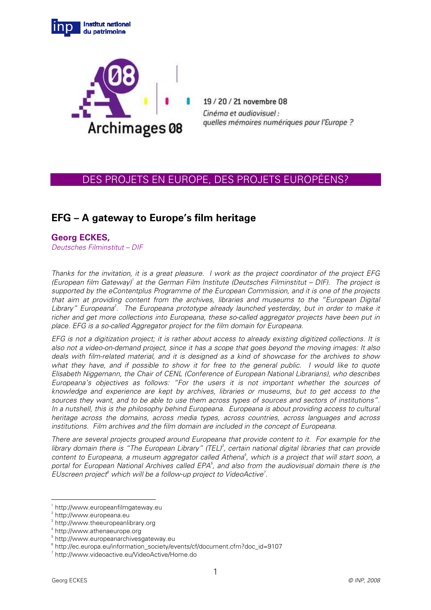



19/20/21 novembre 08 Cinéma et audiovisuel : quelles mémoires numériques pour l'Europe ?

# DES PROJETS EN EUROPE, DES PROJETS EUROPÉENS?

# **EFG – A gateway to Europe's film heritage**

# **Georg ECKES,**

Deutsches Filminstitut – DIF

Thanks for the invitation, it is a great pleasure. I work as the project coordinator of the project EFG (European film Gateway)<sup>1</sup> at the German Film Institute (Deutsches Filminstitut - DIF). The project is supported by the eContentplus Programme of the European Commission, and it is one of the projects that aim at providing content from the archives, libraries and museums to the "European Digital Library" Europeana<sup>2</sup>. The Europeana prototype already launched yesterday, but in order to make it richer and get more collections into Europeana, these so-called aggregator projects have been put in place. EFG is a so-called Aggregator project for the film domain for Europeana.

EFG is not a digitization project; it is rather about access to already existing digitized collections. It is also not a video-on-demand project, since it has a scope that goes beyond the moving images: It also deals with film-related material, and it is designed as a kind of showcase for the archives to show what they have, and if possible to show it for free to the general public. I would like to quote Elisabeth Niggemann, the Chair of CENL (Conference of European National Librarians), who describes Europeana's objectives as follows: "For the users it is not important whether the sources of knowledge and experience are kept by archives, libraries or museums, but to get access to the sources they want, and to be able to use them across types of sources and sectors of institutions". In a nutshell, this is the philosophy behind Europeana. Europeana is about providing access to cultural heritage across the domains, across media types, across countries, across languages and across institutions. Film archives and the film domain are included in the concept of Europeana.

There are several projects grouped around Europeana that provide content to it. For example for the library domain there is "The European Library" (TEL)<sup>3</sup>, certain national digital libraries that can provide content to Europeana, a museum aggregator called Athena<sup>4</sup>, which is a project that will start soon, a portal for European National Archives called EPA<sup>5</sup>, and also from the audiovisual domain there is the EUscreen project<sup>6</sup> which will be a follow-up project to VideoActive<sup>7</sup>.

 $\overline{a}$ 

<sup>1</sup> http://www.europeanfilmgateway.eu

<sup>&</sup>lt;sup>2</sup> http://www.europeana.eu

<sup>3</sup> http://www.theeuropeanlibrary.org

<sup>4</sup> http://www.athenaeurope.org

<sup>5</sup> http://www.europeanarchivesgateway.eu

<sup>6</sup> http://ec.europa.eu/information\_society/events/cf/document.cfm?doc\_id=9107

<sup>7</sup> http://www.videoactive.eu/VideoActive/Home.do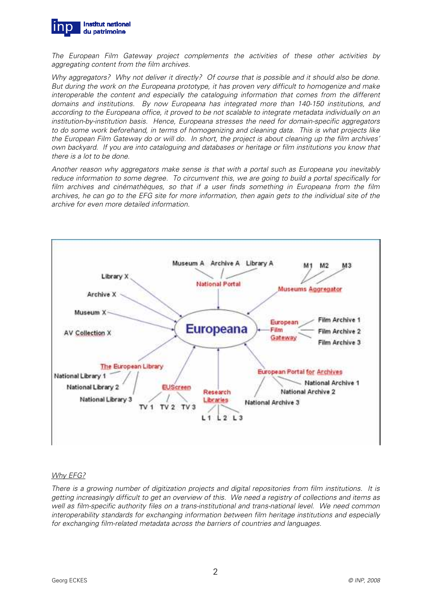

The European Film Gateway project complements the activities of these other activities by aggregating content from the film archives.

Why aggregators? Why not deliver it directly? Of course that is possible and it should also be done. But during the work on the Europeana prototype, it has proven very difficult to homogenize and make interoperable the content and especially the cataloguing information that comes from the different domains and institutions. By now Europeana has integrated more than 140-150 institutions, and according to the Europeana office, it proved to be not scalable to integrate metadata individually on an institution-by-institution basis. Hence, Europeana stresses the need for domain-specific aggregators to do some work beforehand, in terms of homogenizing and cleaning data. This is what projects like the European Film Gateway do or will do. In short, the project is about cleaning up the film archives' own backyard. If you are into cataloguing and databases or heritage or film institutions you know that there is a lot to be done.

Another reason why aggregators make sense is that with a portal such as Europeana you inevitably reduce information to some degree. To circumvent this, we are going to build a portal specifically for film archives and cinémathèques, so that if a user finds something in Europeana from the film archives, he can go to the EFG site for more information, then again gets to the individual site of the archive for even more detailed information.



# Why EFG?

There is a growing number of digitization projects and digital repositories from film institutions. It is getting increasingly difficult to get an overview of this. We need a registry of collections and items as well as film-specific authority files on a trans-institutional and trans-national level. We need common interoperability standards for exchanging information between film heritage institutions and especially for exchanging film-related metadata across the barriers of countries and languages.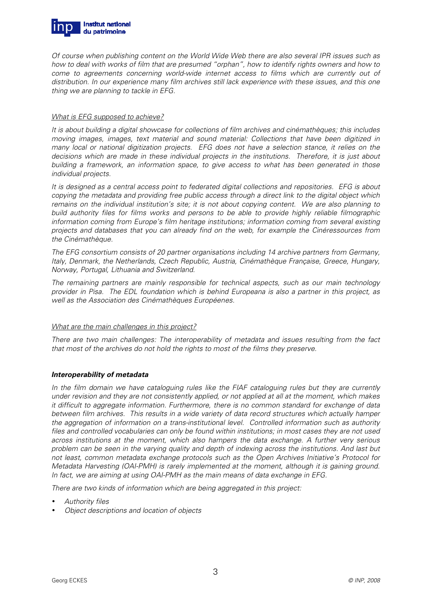

Of course when publishing content on the World Wide Web there are also several IPR issues such as how to deal with works of film that are presumed "orphan", how to identify rights owners and how to come to agreements concerning world-wide internet access to films which are currently out of distribution. In our experience many film archives still lack experience with these issues, and this one thing we are planning to tackle in EFG.

#### What is EFG supposed to achieve?

It is about building a digital showcase for collections of film archives and cinémathèques; this includes moving images, images, text material and sound material: Collections that have been digitized in many local or national digitization projects. EFG does not have a selection stance, it relies on the decisions which are made in these individual projects in the institutions. Therefore, it is just about building a framework, an information space, to give access to what has been generated in those individual projects.

It is designed as a central access point to federated digital collections and repositories. EFG is about copying the metadata and providing free public access through a direct link to the digital object which remains on the individual institution's site; it is not about copying content. We are also planning to build authority files for films works and persons to be able to provide highly reliable filmographic information coming from Europe's film heritage institutions; information coming from several existing projects and databases that you can already find on the web, for example the Cinéressources from the Cinémathèque.

The EFG consortium consists of 20 partner organisations including 14 archive partners from Germany, Italy, Denmark, the Netherlands, Czech Republic, Austria, Cinémathèque Française, Greece, Hungary, Norway, Portugal, Lithuania and Switzerland.

The remaining partners are mainly responsible for technical aspects, such as our main technology provider in Pisa. The EDL foundation which is behind Europeana is also a partner in this project, as well as the Association des Cinémathèques Européenes.

#### What are the main challenges in this project?

There are two main challenges: The interoperability of metadata and issues resulting from the fact that most of the archives do not hold the rights to most of the films they preserve.

# **Interoperability of metadata**

In the film domain we have cataloguing rules like the FIAF cataloguing rules but they are currently under revision and they are not consistently applied, or not applied at all at the moment, which makes it difficult to aggregate information. Furthermore, there is no common standard for exchange of data between film archives. This results in a wide variety of data record structures which actually hamper the aggregation of information on a trans-institutional level. Controlled information such as authority files and controlled vocabularies can only be found within institutions; in most cases they are not used across institutions at the moment, which also hampers the data exchange. A further very serious problem can be seen in the varying quality and depth of indexing across the institutions. And last but not least, common metadata exchange protocols such as the Open Archives Initiative's Protocol for Metadata Harvesting (OAI-PMH) is rarely implemented at the moment, although it is gaining ground. In fact, we are aiming at using OAI-PMH as the main means of data exchange in EFG.

There are two kinds of information which are being aggregated in this project:

- Authority files
- Object descriptions and location of objects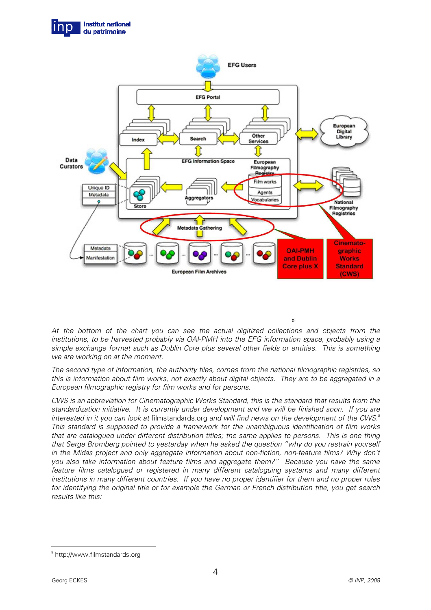



At the bottom of the chart you can see the actual digitized collections and objects from the institutions, to be harvested probably via OAI-PMH into the EFG information space, probably using a simple exchange format such as Dublin Core plus several other fields or entities. This is something we are working on at the moment.

 $\Omega$ 

The second type of information, the authority files, comes from the national filmographic registries, so this is information about film works, not exactly about digital objects. They are to be aggregated in a European filmographic registry for film works and for persons.

CWS is an abbreviation for Cinematographic Works Standard, this is the standard that results from the standardization initiative. It is currently under development and we will be finished soon. If you are interested in it you can look at filmstandards.org and will find news on the development of the CWS. $^8$ This standard is supposed to provide a framework for the unambiguous identification of film works that are catalogued under different distribution titles; the same applies to persons. This is one thing that Serge Bromberg pointed to yesterday when he asked the question "why do you restrain yourself in the Midas project and only aggregate information about non-fiction, non-feature films? Why don't you also take information about feature films and aggregate them?" Because you have the same feature films catalogued or registered in many different cataloguing systems and many different institutions in many different countries. If you have no proper identifier for them and no proper rules for identifying the original title or for example the German or French distribution title, you get search results like this:

 $\overline{a}$ 

<sup>8</sup> http://www.filmstandards.org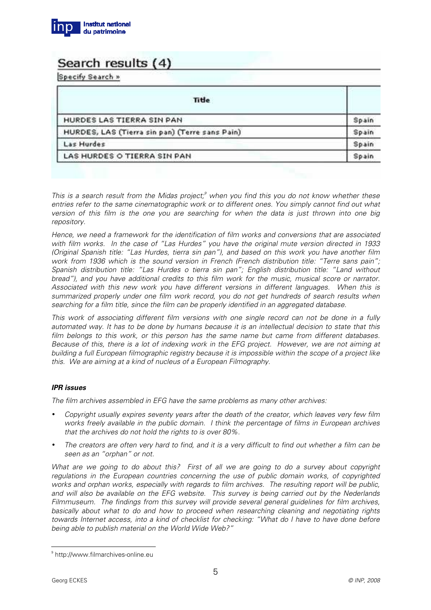

# Search results (4)

Specify Search »

| Title                                          |       |
|------------------------------------------------|-------|
| HURDES LAS TIERRA SIN PAN                      | Spain |
| HURDES, LAS (Tierra sin pan) (Terre sans Pain) | Spain |
| Las Hurdes                                     | Spain |
| LAS HURDES O TIERRA SIN PAN                    | Spain |

This is a search result from the Midas project;<sup>9</sup> when you find this you do not know whether these entries refer to the same cinematographic work or to different ones. You simply cannot find out what version of this film is the one you are searching for when the data is just thrown into one big repository.

Hence, we need a framework for the identification of film works and conversions that are associated with film works. In the case of "Las Hurdes" you have the original mute version directed in 1933 (Original Spanish title: "Las Hurdes, tierra sin pan"), and based on this work you have another film work from 1936 which is the sound version in French (French distribution title: "Terre sans pain"; Spanish distribution title: "Las Hurdes o tierra sin pan"; English distribution title: "Land without bread"), and you have additional credits to this film work for the music, musical score or narrator. Associated with this new work you have different versions in different languages. When this is summarized properly under one film work record, you do not get hundreds of search results when searching for a film title, since the film can be properly identified in an aggregated database.

This work of associating different film versions with one single record can not be done in a fully automated way. It has to be done by humans because it is an intellectual decision to state that this film belongs to this work, or this person has the same name but came from different databases. Because of this, there is a lot of indexing work in the EFG project. However, we are not aiming at building a full European filmographic registry because it is impossible within the scope of a project like this. We are aiming at a kind of nucleus of a European Filmography.

# **IPR issues**

The film archives assembled in EFG have the same problems as many other archives:

- Copyright usually expires seventy years after the death of the creator, which leaves very few film works freely available in the public domain. I think the percentage of films in European archives that the archives do not hold the rights to is over 80%.
- The creators are often very hard to find, and it is a very difficult to find out whether a film can be seen as an "orphan" or not.

What are we going to do about this? First of all we are going to do a survey about copyright regulations in the European countries concerning the use of public domain works, of copyrighted works and orphan works, especially with regards to film archives. The resulting report will be public, and will also be available on the EFG website. This survey is being carried out by the Nederlands Filmmuseum. The findings from this survey will provide several general guidelines for film archives, basically about what to do and how to proceed when researching cleaning and negotiating rights towards Internet access, into a kind of checklist for checking: "What do I have to have done before being able to publish material on the World Wide Web?"

 $\overline{a}$ 

<sup>9</sup> http://www.filmarchives-online.eu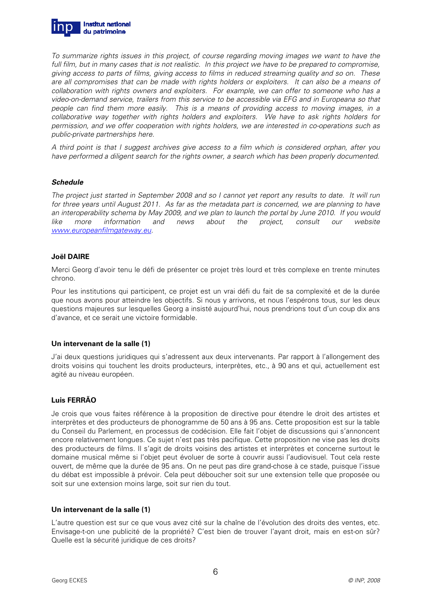

To summarize rights issues in this project, of course regarding moving images we want to have the full film, but in many cases that is not realistic. In this project we have to be prepared to compromise, giving access to parts of films, giving access to films in reduced streaming quality and so on. These are all compromises that can be made with rights holders or exploiters. It can also be a means of collaboration with rights owners and exploiters. For example, we can offer to someone who has a video-on-demand service, trailers from this service to be accessible via EFG and in Europeana so that people can find them more easily. This is a means of providing access to moving images, in a collaborative way together with rights holders and exploiters. We have to ask rights holders for permission, and we offer cooperation with rights holders, we are interested in co-operations such as public-private partnerships here.

A third point is that I suggest archives give access to a film which is considered orphan, after you have performed a diligent search for the rights owner, a search which has been properly documented.

#### **Schedule**

The project just started in September 2008 and so I cannot yet report any results to date. It will run for three years until August 2011. As far as the metadata part is concerned, we are planning to have an interoperability schema by May 2009, and we plan to launch the portal by June 2010. If you would like more information and news about the project, consult our website www.europeanfilmgateway.eu.

#### **Joël DAIRE**

Merci Georg d'avoir tenu le défi de présenter ce projet très lourd et très complexe en trente minutes chrono.

Pour les institutions qui participent, ce projet est un vrai défi du fait de sa complexité et de la durée que nous avons pour atteindre les objectifs. Si nous y arrivons, et nous l'espérons tous, sur les deux questions majeures sur lesquelles Georg a insisté aujourd'hui, nous prendrions tout d'un coup dix ans d'avance, et ce serait une victoire formidable.

# **Un intervenant de la salle (1)**

J'ai deux questions juridiques qui s'adressent aux deux intervenants. Par rapport à l'allongement des droits voisins qui touchent les droits producteurs, interprètes, etc., à 90 ans et qui, actuellement est agité au niveau européen.

# **Luis FERRÃO**

Je crois que vous faites référence à la proposition de directive pour étendre le droit des artistes et interprètes et des producteurs de phonogramme de 50 ans à 95 ans. Cette proposition est sur la table du Conseil du Parlement, en processus de codécision. Elle fait l'objet de discussions qui s'annoncent encore relativement longues. Ce sujet n'est pas très pacifique. Cette proposition ne vise pas les droits des producteurs de films. Il s'agit de droits voisins des artistes et interprètes et concerne surtout le domaine musical même si l'objet peut évoluer de sorte à couvrir aussi l'audiovisuel. Tout cela reste ouvert, de même que la durée de 95 ans. On ne peut pas dire grand-chose à ce stade, puisque l'issue du débat est impossible à prévoir. Cela peut déboucher soit sur une extension telle que proposée ou soit sur une extension moins large, soit sur rien du tout.

#### **Un intervenant de la salle (1)**

L'autre question est sur ce que vous avez cité sur la chaîne de l'évolution des droits des ventes, etc. Envisage-t-on une publicité de la propriété? C'est bien de trouver l'ayant droit, mais en est-on sûr? Quelle est la sécurité juridique de ces droits?